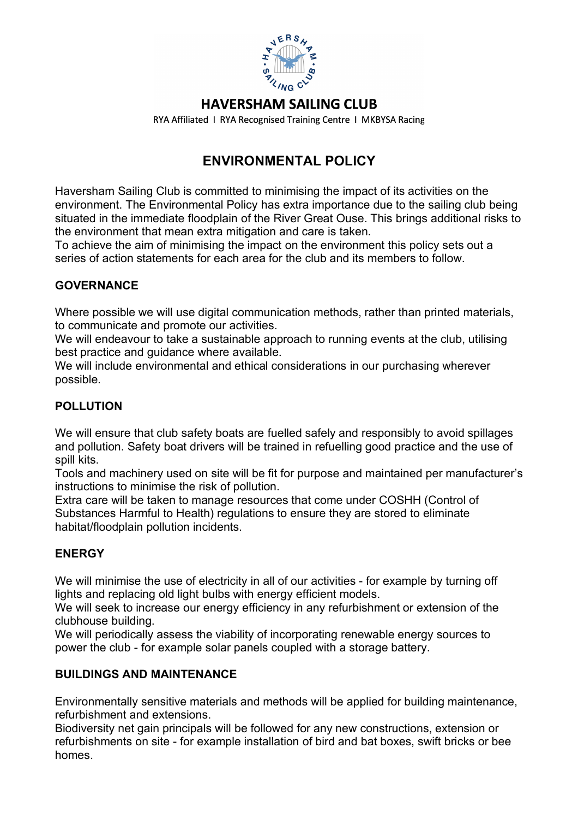

## **HAVERSHAM SAILING CLUB**

RYA Affiliated 1 RYA Recognised Training Centre 1 MKBYSA Racing

# **ENVIRONMENTAL POLICY**

Haversham Sailing Club is committed to minimising the impact of its activities on the environment. The Environmental Policy has extra importance due to the sailing club being situated in the immediate floodplain of the River Great Ouse. This brings additional risks to the environment that mean extra mitigation and care is taken.

To achieve the aim of minimising the impact on the environment this policy sets out a series of action statements for each area for the club and its members to follow.

### **GOVERNANCE**

Where possible we will use digital communication methods, rather than printed materials, to communicate and promote our activities.

We will endeavour to take a sustainable approach to running events at the club, utilising best practice and guidance where available.

We will include environmental and ethical considerations in our purchasing wherever possible.

### **POLLUTION**

We will ensure that club safety boats are fuelled safely and responsibly to avoid spillages and pollution. Safety boat drivers will be trained in refuelling good practice and the use of spill kits.

Tools and machinery used on site will be fit for purpose and maintained per manufacturer's instructions to minimise the risk of pollution.

Extra care will be taken to manage resources that come under COSHH (Control of Substances Harmful to Health) regulations to ensure they are stored to eliminate habitat/floodplain pollution incidents.

### **ENERGY**

We will minimise the use of electricity in all of our activities - for example by turning off lights and replacing old light bulbs with energy efficient models.

We will seek to increase our energy efficiency in any refurbishment or extension of the clubhouse building.

We will periodically assess the viability of incorporating renewable energy sources to power the club - for example solar panels coupled with a storage battery.

### **BUILDINGS AND MAINTENANCE**

Environmentally sensitive materials and methods will be applied for building maintenance, refurbishment and extensions.

Biodiversity net gain principals will be followed for any new constructions, extension or refurbishments on site - for example installation of bird and bat boxes, swift bricks or bee homes.